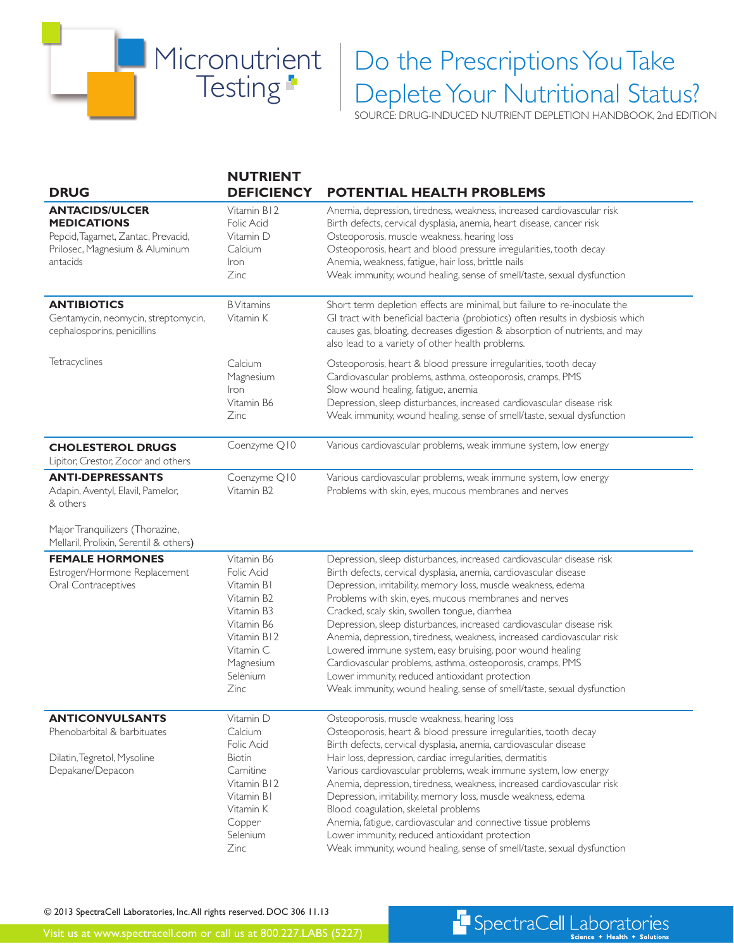

## Do the Prescriptions You Take Deplete Your Nutritional Status?

SOURCE: DRUG-INDUCED NUTRIENT DEPLETION HANDBOOK, 2nd EDITION

| <b>NUTRIENT</b>                                                                                                                               |                                                                                                                                                                                                                                                                                                                                                                                                                                                                                                                                                                                                                                                                                                                                |
|-----------------------------------------------------------------------------------------------------------------------------------------------|--------------------------------------------------------------------------------------------------------------------------------------------------------------------------------------------------------------------------------------------------------------------------------------------------------------------------------------------------------------------------------------------------------------------------------------------------------------------------------------------------------------------------------------------------------------------------------------------------------------------------------------------------------------------------------------------------------------------------------|
| <b>DEFICIENCY</b>                                                                                                                             | <b>POTENTIAL HEALTH PROBLEMS</b>                                                                                                                                                                                                                                                                                                                                                                                                                                                                                                                                                                                                                                                                                               |
| Vitamin B12<br>Folic Acid<br>Vitamin D<br>Calcium<br>Iron<br>Zinc                                                                             | Anemia, depression, tiredness, weakness, increased cardiovascular risk<br>Birth defects, cervical dysplasia, anemia, heart disease, cancer risk<br>Osteoporosis, muscle weakness, hearing loss<br>Osteoporosis, heart and blood pressure irregularities, tooth decay<br>Anemia, weakness, fatigue, hair loss, brittle nails<br>Weak immunity, wound healing, sense of smell/taste, sexual dysfunction                                                                                                                                                                                                                                                                                                                          |
| <b>B</b> Vitamins<br>Vitamin K                                                                                                                | Short term depletion effects are minimal, but failure to re-inoculate the<br>GI tract with beneficial bacteria (probiotics) often results in dysbiosis which<br>causes gas, bloating, decreases digestion & absorption of nutrients, and may<br>also lead to a variety of other health problems.                                                                                                                                                                                                                                                                                                                                                                                                                               |
| Calcium<br>Magnesium<br>Iron<br>Vitamin B6<br>Zinc                                                                                            | Osteoporosis, heart & blood pressure irregularities, tooth decay<br>Cardiovascular problems, asthma, osteoporosis, cramps, PMS<br>Slow wound healing, fatigue, anemia<br>Depression, sleep disturbances, increased cardiovascular disease risk<br>Weak immunity, wound healing, sense of smell/taste, sexual dysfunction                                                                                                                                                                                                                                                                                                                                                                                                       |
| Coenzyme Q10                                                                                                                                  | Various cardiovascular problems, weak immune system, low energy                                                                                                                                                                                                                                                                                                                                                                                                                                                                                                                                                                                                                                                                |
| Coenzyme Q10<br>Vitamin B <sub>2</sub>                                                                                                        | Various cardiovascular problems, weak immune system, low energy<br>Problems with skin, eyes, mucous membranes and nerves                                                                                                                                                                                                                                                                                                                                                                                                                                                                                                                                                                                                       |
|                                                                                                                                               |                                                                                                                                                                                                                                                                                                                                                                                                                                                                                                                                                                                                                                                                                                                                |
| Vitamin B6<br>Folic Acid<br>Vitamin B1<br>Vitamin B2<br>Vitamin B3<br>Vitamin B6<br>Vitamin B12<br>Vitamin C<br>Magnesium<br>Selenium<br>Zinc | Depression, sleep disturbances, increased cardiovascular disease risk<br>Birth defects, cervical dysplasia, anemia, cardiovascular disease<br>Depression, irritability, memory loss, muscle weakness, edema<br>Problems with skin, eyes, mucous membranes and nerves<br>Cracked, scaly skin, swollen tongue, diarrhea<br>Depression, sleep disturbances, increased cardiovascular disease risk<br>Anemia, depression, tiredness, weakness, increased cardiovascular risk<br>Lowered immune system, easy bruising, poor wound healing<br>Cardiovascular problems, asthma, osteoporosis, cramps, PMS<br>Lower immunity, reduced antioxidant protection<br>Weak immunity, wound healing, sense of smell/taste, sexual dysfunction |
| Vitamin D<br>Calcium<br>Folic Acid<br><b>Biotin</b><br>Carnitine<br>Vitamin B12<br>Vitamin B1<br>Vitamin K<br>Copper<br>Selenium              | Osteoporosis, muscle weakness, hearing loss<br>Osteoporosis, heart & blood pressure irregularities, tooth decay<br>Birth defects, cervical dysplasia, anemia, cardiovascular disease<br>Hair loss, depression, cardiac irregularities, dermatitis<br>Various cardiovascular problems, weak immune system, low energy<br>Anemia, depression, tiredness, weakness, increased cardiovascular risk<br>Depression, irritability, memory loss, muscle weakness, edema<br>Blood coagulation, skeletal problems<br>Anemia, fatigue, cardiovascular and connective tissue problems<br>Lower immunity, reduced antioxidant protection<br>Weak immunity, wound healing, sense of smell/taste, sexual dysfunction                          |
|                                                                                                                                               | Zinc                                                                                                                                                                                                                                                                                                                                                                                                                                                                                                                                                                                                                                                                                                                           |

© 2013 SpectraCell Laboratories, Inc. All rights reserved. DOC 306 11.13